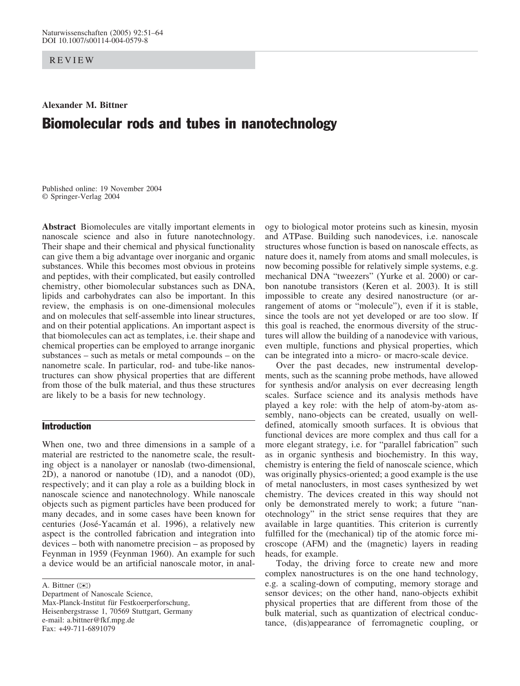REVIEW

# Alexander M. Bittner Biomolecular rods and tubes in nanotechnology

Published online: 19 November 2004 Springer-Verlag 2004

Abstract Biomolecules are vitally important elements in nanoscale science and also in future nanotechnology. Their shape and their chemical and physical functionality can give them a big advantage over inorganic and organic substances. While this becomes most obvious in proteins and peptides, with their complicated, but easily controlled chemistry, other biomolecular substances such as DNA, lipids and carbohydrates can also be important. In this review, the emphasis is on one-dimensional molecules and on molecules that self-assemble into linear structures, and on their potential applications. An important aspect is that biomolecules can act as templates, i.e. their shape and chemical properties can be employed to arrange inorganic substances – such as metals or metal compounds – on the nanometre scale. In particular, rod- and tube-like nanostructures can show physical properties that are different from those of the bulk material, and thus these structures are likely to be a basis for new technology.

## Introduction

When one, two and three dimensions in a sample of a material are restricted to the nanometre scale, the resulting object is a nanolayer or nanoslab (two-dimensional, 2D), a nanorod or nanotube (1D), and a nanodot (0D), respectively; and it can play a role as a building block in nanoscale science and nanotechnology. While nanoscale objects such as pigment particles have been produced for many decades, and in some cases have been known for centuries (José-Yacamán et al. 1996), a relatively new aspect is the controlled fabrication and integration into devices – both with nanometre precision – as proposed by Feynman in 1959 (Feynman 1960). An example for such a device would be an artificial nanoscale motor, in anal-

A. Bittner ( $\bowtie$ )

Department of Nanoscale Science, Max-Planck-Institut für Festkoerperforschung, Heisenbergstrasse 1, 70569 Stuttgart, Germany e-mail: a.bittner@fkf.mpg.de Fax: +49-711-6891079

ogy to biological motor proteins such as kinesin, myosin and ATPase. Building such nanodevices, i.e. nanoscale structures whose function is based on nanoscale effects, as nature does it, namely from atoms and small molecules, is now becoming possible for relatively simple systems, e.g. mechanical DNA "tweezers" (Yurke et al. 2000) or carbon nanotube transistors (Keren et al. 2003). It is still impossible to create any desired nanostructure (or arrangement of atoms or "molecule"), even if it is stable, since the tools are not yet developed or are too slow. If this goal is reached, the enormous diversity of the structures will allow the building of a nanodevice with various, even multiple, functions and physical properties, which can be integrated into a micro- or macro-scale device.

Over the past decades, new instrumental developments, such as the scanning probe methods, have allowed for synthesis and/or analysis on ever decreasing length scales. Surface science and its analysis methods have played a key role: with the help of atom-by-atom assembly, nano-objects can be created, usually on welldefined, atomically smooth surfaces. It is obvious that functional devices are more complex and thus call for a more elegant strategy, i.e. for "parallel fabrication" such as in organic synthesis and biochemistry. In this way, chemistry is entering the field of nanoscale science, which was originally physics-oriented; a good example is the use of metal nanoclusters, in most cases synthesized by wet chemistry. The devices created in this way should not only be demonstrated merely to work; a future "nanotechnology" in the strict sense requires that they are available in large quantities. This criterion is currently fulfilled for the (mechanical) tip of the atomic force microscope (AFM) and the (magnetic) layers in reading heads, for example.

Today, the driving force to create new and more complex nanostructures is on the one hand technology, e.g. a scaling-down of computing, memory storage and sensor devices; on the other hand, nano-objects exhibit physical properties that are different from those of the bulk material, such as quantization of electrical conductance, (dis)appearance of ferromagnetic coupling, or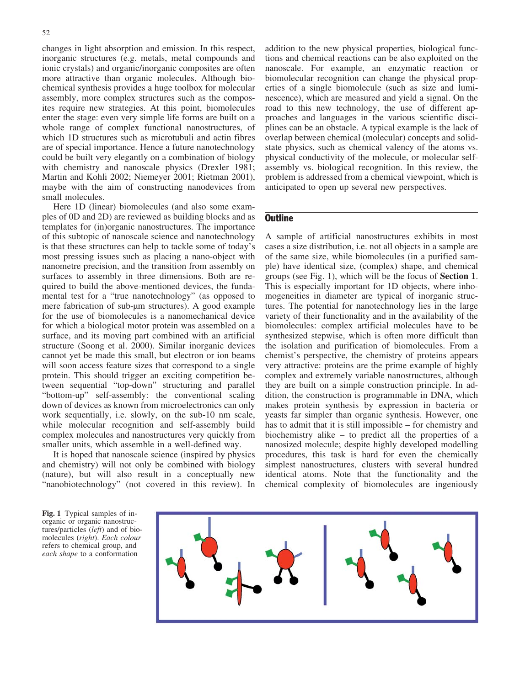changes in light absorption and emission. In this respect, inorganic structures (e.g. metals, metal compounds and ionic crystals) and organic/inorganic composites are often more attractive than organic molecules. Although biochemical synthesis provides a huge toolbox for molecular assembly, more complex structures such as the composites require new strategies. At this point, biomolecules enter the stage: even very simple life forms are built on a whole range of complex functional nanostructures, of which 1D structures such as microtubuli and actin fibres are of special importance. Hence a future nanotechnology could be built very elegantly on a combination of biology with chemistry and nanoscale physics (Drexler 1981; Martin and Kohli 2002; Niemeyer 2001; Rietman 2001), maybe with the aim of constructing nanodevices from small molecules.

Here 1D (linear) biomolecules (and also some examples of 0D and 2D) are reviewed as building blocks and as templates for (in)organic nanostructures. The importance of this subtopic of nanoscale science and nanotechnology is that these structures can help to tackle some of today's most pressing issues such as placing a nano-object with nanometre precision, and the transition from assembly on surfaces to assembly in three dimensions. Both are required to build the above-mentioned devices, the fundamental test for a "true nanotechnology" (as opposed to mere fabrication of sub-um structures). A good example for the use of biomolecules is a nanomechanical device for which a biological motor protein was assembled on a surface, and its moving part combined with an artificial structure (Soong et al. 2000). Similar inorganic devices cannot yet be made this small, but electron or ion beams will soon access feature sizes that correspond to a single protein. This should trigger an exciting competition between sequential "top-down" structuring and parallel "bottom-up" self-assembly: the conventional scaling down of devices as known from microelectronics can only work sequentially, i.e. slowly, on the sub-10 nm scale, while molecular recognition and self-assembly build complex molecules and nanostructures very quickly from smaller units, which assemble in a well-defined way.

It is hoped that nanoscale science (inspired by physics and chemistry) will not only be combined with biology (nature), but will also result in a conceptually new "nanobiotechnology" (not covered in this review). In

addition to the new physical properties, biological functions and chemical reactions can be also exploited on the nanoscale. For example, an enzymatic reaction or biomolecular recognition can change the physical properties of a single biomolecule (such as size and luminescence), which are measured and yield a signal. On the road to this new technology, the use of different approaches and languages in the various scientific disciplines can be an obstacle. A typical example is the lack of overlap between chemical (molecular) concepts and solidstate physics, such as chemical valency of the atoms vs. physical conductivity of the molecule, or molecular selfassembly vs. biological recognition. In this review, the problem is addressed from a chemical viewpoint, which is anticipated to open up several new perspectives.

# **Outline**

A sample of artificial nanostructures exhibits in most cases a size distribution, i.e. not all objects in a sample are of the same size, while biomolecules (in a purified sample) have identical size, (complex) shape, and chemical groups (see Fig. 1), which will be the focus of Section 1. This is especially important for 1D objects, where inhomogeneities in diameter are typical of inorganic structures. The potential for nanotechnology lies in the large variety of their functionality and in the availability of the biomolecules: complex artificial molecules have to be synthesized stepwise, which is often more difficult than the isolation and purification of biomolecules. From a chemist's perspective, the chemistry of proteins appears very attractive: proteins are the prime example of highly complex and extremely variable nanostructures, although they are built on a simple construction principle. In addition, the construction is programmable in DNA, which makes protein synthesis by expression in bacteria or yeasts far simpler than organic synthesis. However, one has to admit that it is still impossible – for chemistry and biochemistry alike – to predict all the properties of a nanosized molecule; despite highly developed modelling procedures, this task is hard for even the chemically simplest nanostructures, clusters with several hundred identical atoms. Note that the functionality and the chemical complexity of biomolecules are ingeniously



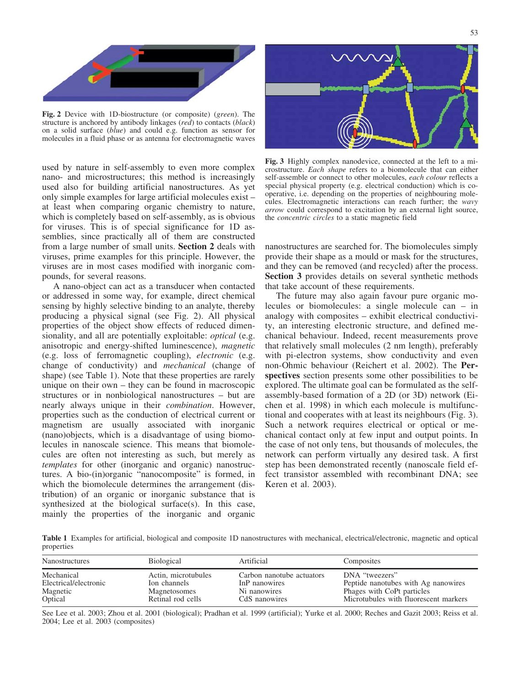



Fig. 2 Device with 1D-biostructure (or composite) (green). The structure is anchored by antibody linkages (red) to contacts (black) on a solid surface (blue) and could e.g. function as sensor for molecules in a fluid phase or as antenna for electromagnetic waves

used by nature in self-assembly to even more complex nano- and microstructures; this method is increasingly used also for building artificial nanostructures. As yet only simple examples for large artificial molecules exist – at least when comparing organic chemistry to nature, which is completely based on self-assembly, as is obvious for viruses. This is of special significance for 1D assemblies, since practically all of them are constructed from a large number of small units. Section 2 deals with viruses, prime examples for this principle. However, the viruses are in most cases modified with inorganic compounds, for several reasons.

A nano-object can act as a transducer when contacted or addressed in some way, for example, direct chemical sensing by highly selective binding to an analyte, thereby producing a physical signal (see Fig. 2). All physical properties of the object show effects of reduced dimensionality, and all are potentially exploitable: *optical* (e.g. anisotropic and energy-shifted luminescence), magnetic (e.g. loss of ferromagnetic coupling), electronic (e.g. change of conductivity) and mechanical (change of shape) (see Table 1). Note that these properties are rarely unique on their own – they can be found in macroscopic structures or in nonbiological nanostructures – but are nearly always unique in their combination. However, properties such as the conduction of electrical current or magnetism are usually associated with inorganic (nano)objects, which is a disadvantage of using biomolecules in nanoscale science. This means that biomolecules are often not interesting as such, but merely as templates for other (inorganic and organic) nanostructures. A bio-(in)organic "nanocomposite" is formed, in which the biomolecule determines the arrangement (distribution) of an organic or inorganic substance that is synthesized at the biological surface(s). In this case, mainly the properties of the inorganic and organic



Fig. 3 Highly complex nanodevice, connected at the left to a microstructure. Each shape refers to a biomolecule that can either self-assemble or connect to other molecules, each colour reflects a special physical property (e.g. electrical conduction) which is cooperative, i.e. depending on the properties of neighbouring molecules. Electromagnetic interactions can reach further; the wavy arrow could correspond to excitation by an external light source, the concentric circles to a static magnetic field

nanostructures are searched for. The biomolecules simply provide their shape as a mould or mask for the structures, and they can be removed (and recycled) after the process. Section 3 provides details on several synthetic methods that take account of these requirements.

The future may also again favour pure organic molecules or biomolecules: a single molecule can – in analogy with composites – exhibit electrical conductivity, an interesting electronic structure, and defined mechanical behaviour. Indeed, recent measurements prove that relatively small molecules (2 nm length), preferably with pi-electron systems, show conductivity and even non-Ohmic behaviour (Reichert et al. 2002). The Perspectives section presents some other possibilities to be explored. The ultimate goal can be formulated as the selfassembly-based formation of a 2D (or 3D) network (Eichen et al. 1998) in which each molecule is multifunctional and cooperates with at least its neighbours (Fig. 3). Such a network requires electrical or optical or mechanical contact only at few input and output points. In the case of not only tens, but thousands of molecules, the network can perform virtually any desired task. A first step has been demonstrated recently (nanoscale field effect transistor assembled with recombinant DNA; see Keren et al. 2003).

Table 1 Examples for artificial, biological and composite 1D nanostructures with mechanical, electrical/electronic, magnetic and optical properties

| Nanostructures        | <b>Biological</b>   | Artificial                | Composites                            |
|-----------------------|---------------------|---------------------------|---------------------------------------|
| Mechanical            | Actin, microtubules | Carbon nanotube actuators | DNA "tweezers"                        |
| Electrical/electronic | Ion channels        | InP nanowires             | Peptide nanotubes with Ag nanowires   |
| Magnetic              | Magnetosomes        | Ni nanowires              | Phages with CoPt particles            |
| Optical               | Retinal rod cells   | CdS nanowires             | Microtubules with fluorescent markers |

See Lee et al. 2003; Zhou et al. 2001 (biological); Pradhan et al. 1999 (artificial); Yurke et al. 2000; Reches and Gazit 2003; Reiss et al. 2004; Lee et al. 2003 (composites)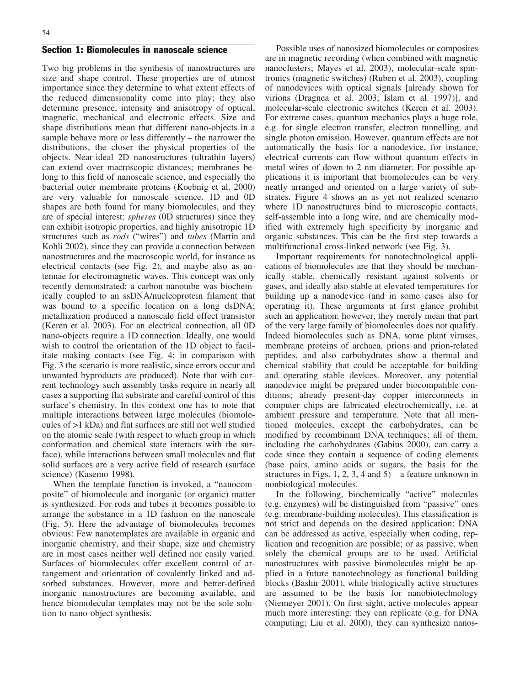## Section 1: Biomolecules in nanoscale science

Two big problems in the synthesis of nanostructures are size and shape control. These properties are of utmost importance since they determine to what extent effects of the reduced dimensionality come into play; they also determine presence, intensity and anisotropy of optical, magnetic, mechanical and electronic effects. Size and shape distributions mean that different nano-objects in a sample behave more or less differently – the narrower the distributions, the closer the physical properties of the objects. Near-ideal 2D nanostructures (ultrathin layers) can extend over macroscopic distances; membranes belong to this field of nanoscale science, and especially the bacterial outer membrane proteins (Koebnig et al. 2000) are very valuable for nanoscale science. 1D and 0D shapes are both found for many biomolecules, and they are of special interest: spheres (0D structures) since they can exhibit isotropic properties, and highly anisotropic 1D structures such as *rods* ("wires") and *tubes* (Martin and Kohli 2002), since they can provide a connection between nanostructures and the macroscopic world, for instance as electrical contacts (see Fig. 2), and maybe also as antennae for electromagnetic waves. This concept was only recently demonstrated: a carbon nanotube was biochemically coupled to an ssDNA/nucleoprotein filament that was bound to a specific location on a long dsDNA; metallization produced a nanoscale field effect transistor (Keren et al. 2003). For an electrical connection, all 0D nano-objects require a 1D connection. Ideally, one would wish to control the orientation of the 1D object to facilitate making contacts (see Fig. 4; in comparison with Fig. 3 the scenario is more realistic, since errors occur and unwanted byproducts are produced). Note that with current technology such assembly tasks require in nearly all cases a supporting flat substrate and careful control of this surface's chemistry. In this context one has to note that multiple interactions between large molecules (biomolecules of >1 kDa) and flat surfaces are still not well studied on the atomic scale (with respect to which group in which conformation and chemical state interacts with the surface), while interactions between small molecules and flat solid surfaces are a very active field of research (surface science) (Kasemo 1998).

When the template function is invoked, a "nanocomposite" of biomolecule and inorganic (or organic) matter is synthesized. For rods and tubes it becomes possible to arrange the substance in a 1D fashion on the nanoscale (Fig. 5). Here the advantage of biomolecules becomes obvious: Few nanotemplates are available in organic and inorganic chemistry, and their shape, size and chemistry are in most cases neither well defined nor easily varied. Surfaces of biomolecules offer excellent control of arrangement and orientation of covalently linked and adsorbed substances. However, more and better-defined inorganic nanostructures are becoming available, and hence biomolecular templates may not be the sole solution to nano-object synthesis.

Possible uses of nanosized biomolecules or composites are in magnetic recording (when combined with magnetic nanoclusters; Mayes et al. 2003), molecular-scale spintronics (magnetic switches) (Ruben et al. 2003), coupling of nanodevices with optical signals [already shown for virions (Dragnea et al. 2003; Islam et al. 1997)], and molecular-scale electronic switches (Keren et al. 2003). For extreme cases, quantum mechanics plays a huge role, e.g. for single electron transfer, electron tunnelling, and single photon emission. However, quantum effects are not automatically the basis for a nanodevice, for instance, electrical currents can flow without quantum effects in metal wires of down to 2 nm diameter. For possible applications it is important that biomolecules can be very neatly arranged and oriented on a large variety of substrates. Figure 4 shows an as yet not realized scenario where 1D nanostructures bind to microscopic contacts, self-assemble into a long wire, and are chemically modified with extremely high specificity by inorganic and organic substances. This can be the first step towards a multifunctional cross-linked network (see Fig. 3).

Important requirements for nanotechnological applications of biomolecules are that they should be mechanically stable, chemically resistant against solvents or gases, and ideally also stable at elevated temperatures for building up a nanodevice (and in some cases also for operating it). These arguments at first glance prohibit such an application; however, they merely mean that part of the very large family of biomolecules does not qualify. Indeed biomolecules such as DNA, some plant viruses, membrane proteins of archaea, prions and prion-related peptides, and also carbohydrates show a thermal and chemical stability that could be acceptable for building and operating stable devices. Moreover, any potential nanodevice might be prepared under biocompatible conditions; already present-day copper interconnects in computer chips are fabricated electrochemically, i.e. at ambient pressure and temperature. Note that all mentioned molecules, except the carbohydrates, can be modified by recombinant DNA techniques; all of them, including the carbohydrates (Gabius 2000), can carry a code since they contain a sequence of coding elements (base pairs, amino acids or sugars, the basis for the structures in Figs. 1, 2, 3, 4 and  $5$ ) – a feature unknown in nonbiological molecules.

In the following, biochemically "active" molecules (e.g. enzymes) will be distinguished from "passive" ones (e.g. membrane-building molecules). This classification is not strict and depends on the desired application: DNA can be addressed as active, especially when coding, replication and recognition are possible; or as passive, when solely the chemical groups are to be used. Artificial nanostructures with passive biomolecules might be applied in a future nanotechnology as functional building blocks (Bashir 2001), while biologically active structures are assumed to be the basis for nanobiotechnology (Niemeyer 2001). On first sight, active molecules appear much more interesting: they can replicate (e.g. for DNA computing; Liu et al. 2000), they can synthesize nanos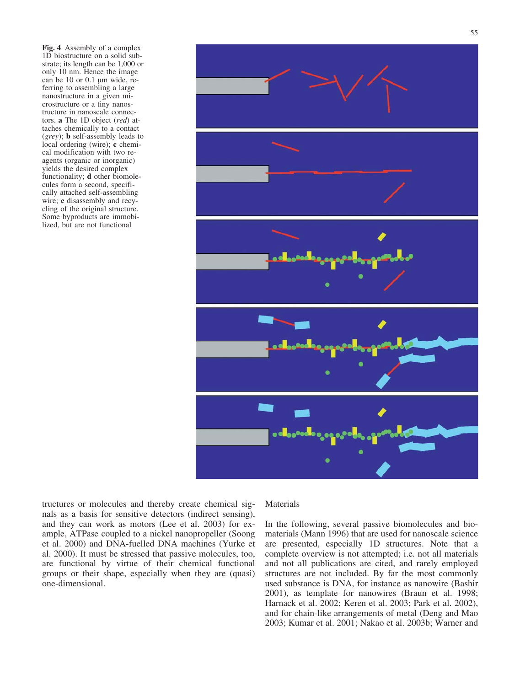Fig. 4 Assembly of a complex 1D biostructure on a solid substrate; its length can be 1,000 or only 10 nm. Hence the image can be 10 or 0.1 um wide, referring to assembling a large nanostructure in a given microstructure or a tiny nanostructure in nanoscale connectors. a The 1D object (red) attaches chemically to a contact (grey); b self-assembly leads to local ordering (wire); c chemical modification with two reagents (organic or inorganic) yields the desired complex functionality; d other biomolecules form a second, specifically attached self-assembling wire; e disassembly and recycling of the original structure. Some byproducts are immobilized, but are not functional



tructures or molecules and thereby create chemical signals as a basis for sensitive detectors (indirect sensing), and they can work as motors (Lee et al. 2003) for example, ATPase coupled to a nickel nanopropeller (Soong et al. 2000) and DNA-fuelled DNA machines (Yurke et al. 2000). It must be stressed that passive molecules, too, are functional by virtue of their chemical functional groups or their shape, especially when they are (quasi) one-dimensional.

#### Materials

In the following, several passive biomolecules and biomaterials (Mann 1996) that are used for nanoscale science are presented, especially 1D structures. Note that a complete overview is not attempted; i.e. not all materials and not all publications are cited, and rarely employed structures are not included. By far the most commonly used substance is DNA, for instance as nanowire (Bashir 2001), as template for nanowires (Braun et al. 1998; Harnack et al. 2002; Keren et al. 2003; Park et al. 2002), and for chain-like arrangements of metal (Deng and Mao 2003; Kumar et al. 2001; Nakao et al. 2003b; Warner and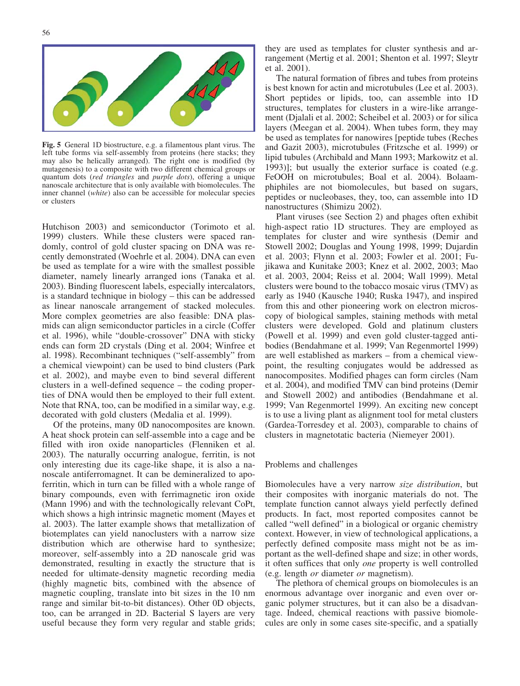

Fig. 5 General 1D biostructure, e.g. a filamentous plant virus. The left tube forms via self-assembly from proteins (here stacks; they may also be helically arranged). The right one is modified (by mutagenesis) to a composite with two different chemical groups or quantum dots (red triangles and purple dots), offering a unique nanoscale architecture that is only available with biomolecules. The inner channel (white) also can be accessible for molecular species or clusters

Hutchison 2003) and semiconductor (Torimoto et al. 1999) clusters. While these clusters were spaced randomly, control of gold cluster spacing on DNA was recently demonstrated (Woehrle et al. 2004). DNA can even be used as template for a wire with the smallest possible diameter, namely linearly arranged ions (Tanaka et al. 2003). Binding fluorescent labels, especially intercalators, is a standard technique in biology – this can be addressed as linear nanoscale arrangement of stacked molecules. More complex geometries are also feasible: DNA plasmids can align semiconductor particles in a circle (Coffer et al. 1996), while "double-crossover" DNA with sticky ends can form 2D crystals (Ding et al. 2004; Winfree et al. 1998). Recombinant techniques ("self-assembly" from a chemical viewpoint) can be used to bind clusters (Park et al. 2002), and maybe even to bind several different clusters in a well-defined sequence – the coding properties of DNA would then be employed to their full extent. Note that RNA, too, can be modified in a similar way, e.g. decorated with gold clusters (Medalia et al. 1999).

Of the proteins, many 0D nanocomposites are known. A heat shock protein can self-assemble into a cage and be filled with iron oxide nanoparticles (Flenniken et al. 2003). The naturally occurring analogue, ferritin, is not only interesting due its cage-like shape, it is also a nanoscale antiferromagnet. It can be demineralized to apoferritin, which in turn can be filled with a whole range of binary compounds, even with ferrimagnetic iron oxide (Mann 1996) and with the technologically relevant CoPt, which shows a high intrinsic magnetic moment (Mayes et al. 2003). The latter example shows that metallization of biotemplates can yield nanoclusters with a narrow size distribution which are otherwise hard to synthesize; moreover, self-assembly into a 2D nanoscale grid was demonstrated, resulting in exactly the structure that is needed for ultimate-density magnetic recording media (highly magnetic bits, combined with the absence of magnetic coupling, translate into bit sizes in the 10 nm range and similar bit-to-bit distances). Other 0D objects, too, can be arranged in 2D. Bacterial S layers are very useful because they form very regular and stable grids;

they are used as templates for cluster synthesis and arrangement (Mertig et al. 2001; Shenton et al. 1997; Sleytr et al. 2001).

The natural formation of fibres and tubes from proteins is best known for actin and microtubules (Lee et al. 2003). Short peptides or lipids, too, can assemble into 1D structures, templates for clusters in a wire-like arrangement (Djalali et al. 2002; Scheibel et al. 2003) or for silica layers (Meegan et al. 2004). When tubes form, they may be used as templates for nanowires [peptide tubes (Reches and Gazit 2003), microtubules (Fritzsche et al. 1999) or lipid tubules (Archibald and Mann 1993; Markowitz et al. 1993)]; but usually the exterior surface is coated (e.g. FeOOH on microtubules; Boal et al. 2004). Bolaamphiphiles are not biomolecules, but based on sugars, peptides or nucleobases, they, too, can assemble into 1D nanostructures (Shimizu 2002).

Plant viruses (see Section 2) and phages often exhibit high-aspect ratio 1D structures. They are employed as templates for cluster and wire synthesis (Demir and Stowell 2002; Douglas and Young 1998, 1999; Dujardin et al. 2003; Flynn et al. 2003; Fowler et al. 2001; Fujikawa and Kunitake 2003; Knez et al. 2002, 2003; Mao et al. 2003, 2004; Reiss et al. 2004; Wall 1999). Metal clusters were bound to the tobacco mosaic virus (TMV) as early as 1940 (Kausche 1940; Ruska 1947), and inspired from this and other pioneering work on electron microscopy of biological samples, staining methods with metal clusters were developed. Gold and platinum clusters (Powell et al. 1999) and even gold cluster-tagged antibodies (Bendahmane et al. 1999; Van Regenmortel 1999) are well established as markers – from a chemical viewpoint, the resulting conjugates would be addressed as nanocomposites. Modified phages can form circles (Nam et al. 2004), and modified TMV can bind proteins (Demir and Stowell 2002) and antibodies (Bendahmane et al. 1999; Van Regenmortel 1999). An exciting new concept is to use a living plant as alignment tool for metal clusters (Gardea-Torresdey et al. 2003), comparable to chains of clusters in magnetotatic bacteria (Niemeyer 2001).

#### Problems and challenges

Biomolecules have a very narrow size distribution, but their composites with inorganic materials do not. The template function cannot always yield perfectly defined products. In fact, most reported composites cannot be called "well defined" in a biological or organic chemistry context. However, in view of technological applications, a perfectly defined composite mass might not be as important as the well-defined shape and size; in other words, it often suffices that only one property is well controlled (e.g. length or diameter or magnetism).

The plethora of chemical groups on biomolecules is an enormous advantage over inorganic and even over organic polymer structures, but it can also be a disadvantage. Indeed, chemical reactions with passive biomolecules are only in some cases site-specific, and a spatially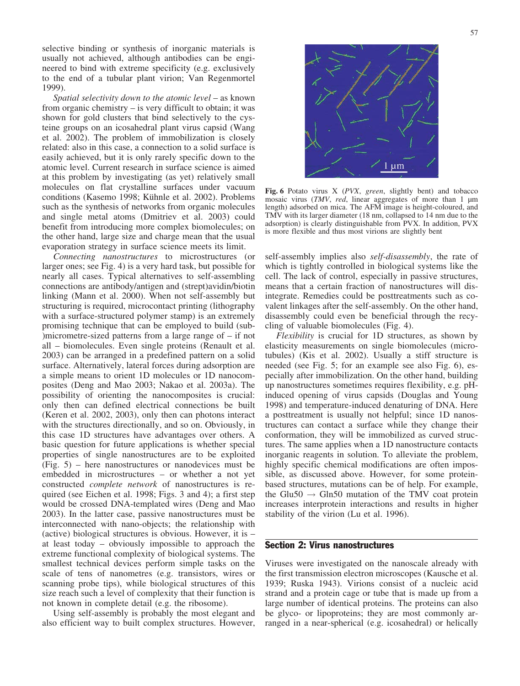selective binding or synthesis of inorganic materials is usually not achieved, although antibodies can be engineered to bind with extreme specificity (e.g. exclusively to the end of a tubular plant virion; Van Regenmortel 1999).

Spatial selectivity down to the atomic level – as known from organic chemistry – is very difficult to obtain; it was shown for gold clusters that bind selectively to the cysteine groups on an icosahedral plant virus capsid (Wang et al. 2002). The problem of immobilization is closely related: also in this case, a connection to a solid surface is easily achieved, but it is only rarely specific down to the atomic level. Current research in surface science is aimed at this problem by investigating (as yet) relatively small molecules on flat crystalline surfaces under vacuum conditions (Kasemo 1998; Kühnle et al. 2002). Problems such as the synthesis of networks from organic molecules and single metal atoms (Dmitriev et al. 2003) could benefit from introducing more complex biomolecules; on the other hand, large size and charge mean that the usual evaporation strategy in surface science meets its limit.

Connecting nanostructures to microstructures (or larger ones; see Fig. 4) is a very hard task, but possible for nearly all cases. Typical alternatives to self-assembling connections are antibody/antigen and (strept)avidin/biotin linking (Mann et al. 2000). When not self-assembly but structuring is required, microcontact printing (lithography with a surface-structured polymer stamp) is an extremely promising technique that can be employed to build (sub- )micrometre-sized patterns from a large range of – if not all – biomolecules. Even single proteins (Renault et al. 2003) can be arranged in a predefined pattern on a solid surface. Alternatively, lateral forces during adsorption are a simple means to orient 1D molecules or 1D nanocomposites (Deng and Mao 2003; Nakao et al. 2003a). The possibility of orienting the nanocomposites is crucial: only then can defined electrical connections be built (Keren et al. 2002, 2003), only then can photons interact with the structures directionally, and so on. Obviously, in this case 1D structures have advantages over others. A basic question for future applications is whether special properties of single nanostructures are to be exploited (Fig. 5) – here nanostructures or nanodevices must be embedded in microstructures – or whether a not yet constructed complete network of nanostructures is required (see Eichen et al. 1998; Figs. 3 and 4); a first step would be crossed DNA-templated wires (Deng and Mao 2003). In the latter case, passive nanostructures must be interconnected with nano-objects; the relationship with (active) biological structures is obvious. However, it is – at least today – obviously impossible to approach the extreme functional complexity of biological systems. The smallest technical devices perform simple tasks on the scale of tens of nanometres (e.g. transistors, wires or scanning probe tips), while biological structures of this size reach such a level of complexity that their function is not known in complete detail (e.g. the ribosome).

Using self-assembly is probably the most elegant and also efficient way to built complex structures. However,



Fig. 6 Potato virus X (PVX, green, slightly bent) and tobacco mosaic virus (TMV, red, linear aggregates of more than  $1 \mu m$ length) adsorbed on mica. The AFM image is height-coloured, and TMV with its larger diameter (18 nm, collapsed to 14 nm due to the adsorption) is clearly distinguishable from PVX. In addition, PVX is more flexible and thus most virions are slightly bent

self-assembly implies also self-disassembly, the rate of which is tightly controlled in biological systems like the cell. The lack of control, especially in passive structures, means that a certain fraction of nanostructures will disintegrate. Remedies could be posttreatments such as covalent linkages after the self-assembly. On the other hand, disassembly could even be beneficial through the recycling of valuable biomolecules (Fig. 4).

Flexibility is crucial for 1D structures, as shown by elasticity measurements on single biomolecules (microtubules) (Kis et al. 2002). Usually a stiff structure is needed (see Fig. 5; for an example see also Fig. 6), especially after immobilization. On the other hand, building up nanostructures sometimes requires flexibility, e.g. pHinduced opening of virus capsids (Douglas and Young 1998) and temperature-induced denaturing of DNA. Here a posttreatment is usually not helpful; since 1D nanostructures can contact a surface while they change their conformation, they will be immobilized as curved structures. The same applies when a 1D nanostructure contacts inorganic reagents in solution. To alleviate the problem, highly specific chemical modifications are often impossible, as discussed above. However, for some proteinbased structures, mutations can be of help. For example, the Glu50  $\rightarrow$  Gln50 mutation of the TMV coat protein increases interprotein interactions and results in higher stability of the virion (Lu et al. 1996).

## Section 2: Virus nanostructures

Viruses were investigated on the nanoscale already with the first transmission electron microscopes (Kausche et al. 1939; Ruska 1943). Virions consist of a nucleic acid strand and a protein cage or tube that is made up from a large number of identical proteins. The proteins can also be glyco- or lipoproteins; they are most commonly arranged in a near-spherical (e.g. icosahedral) or helically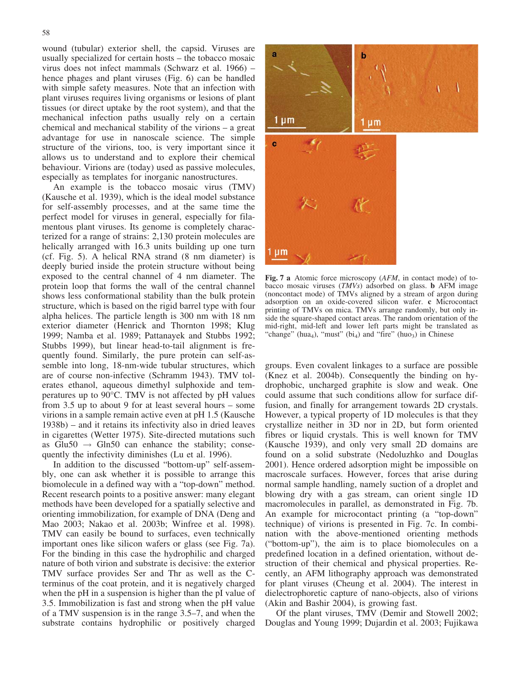wound (tubular) exterior shell, the capsid. Viruses are usually specialized for certain hosts – the tobacco mosaic virus does not infect mammals (Schwarz et al. 1966) – hence phages and plant viruses (Fig. 6) can be handled with simple safety measures. Note that an infection with plant viruses requires living organisms or lesions of plant tissues (or direct uptake by the root system), and that the mechanical infection paths usually rely on a certain chemical and mechanical stability of the virions – a great advantage for use in nanoscale science. The simple structure of the virions, too, is very important since it allows us to understand and to explore their chemical behaviour. Virions are (today) used as passive molecules, especially as templates for inorganic nanostructures.

An example is the tobacco mosaic virus (TMV) (Kausche et al. 1939), which is the ideal model substance for self-assembly processes, and at the same time the perfect model for viruses in general, especially for filamentous plant viruses. Its genome is completely characterized for a range of strains: 2,130 protein molecules are helically arranged with 16.3 units building up one turn (cf. Fig. 5). A helical RNA strand (8 nm diameter) is deeply buried inside the protein structure without being exposed to the central channel of 4 nm diameter. The protein loop that forms the wall of the central channel shows less conformational stability than the bulk protein structure, which is based on the rigid barrel type with four alpha helices. The particle length is 300 nm with 18 nm exterior diameter (Henrick and Thornton 1998; Klug 1999; Namba et al. 1989; Pattanayek and Stubbs 1992; Stubbs 1999), but linear head-to-tail alignment is frequently found. Similarly, the pure protein can self-assemble into long, 18-nm-wide tubular structures, which are of course non-infective (Schramm 1943). TMV tolerates ethanol, aqueous dimethyl sulphoxide and temperatures up to  $90^{\circ}$ C. TMV is not affected by pH values from 3.5 up to about 9 for at least several hours – some virions in a sample remain active even at pH 1.5 (Kausche 1938b) – and it retains its infectivity also in dried leaves in cigarettes (Wetter 1975). Site-directed mutations such as Glu50  $\rightarrow$  Gln50 can enhance the stability; consequently the infectivity diminishes (Lu et al. 1996).

In addition to the discussed "bottom-up" self-assembly, one can ask whether it is possible to arrange this biomolecule in a defined way with a "top-down" method. Recent research points to a positive answer: many elegant methods have been developed for a spatially selective and orienting immobilization, for example of DNA (Deng and Mao 2003; Nakao et al. 2003b; Winfree et al. 1998). TMV can easily be bound to surfaces, even technically important ones like silicon wafers or glass (see Fig. 7a). For the binding in this case the hydrophilic and charged nature of both virion and substrate is decisive: the exterior TMV surface provides Ser and Thr as well as the Cterminus of the coat protein, and it is negatively charged when the pH in a suspension is higher than the pI value of 3.5. Immobilization is fast and strong when the pH value of a TMV suspension is in the range 3.5–7, and when the substrate contains hydrophilic or positively charged



Fig. 7 a Atomic force microscopy (AFM, in contact mode) of tobacco mosaic viruses (TMVs) adsorbed on glass. b AFM image (noncontact mode) of TMVs aligned by a stream of argon during adsorption on an oxide-covered silicon wafer. c Microcontact printing of TMVs on mica. TMVs arrange randomly, but only inside the square-shaped contact areas. The random orientation of the mid-right, mid-left and lower left parts might be translated as "change" (hua<sub>4</sub>), "must" (bi<sub>4</sub>) and "fire" (huo<sub>3</sub>) in Chinese

groups. Even covalent linkages to a surface are possible (Knez et al. 2004b). Consequently the binding on hydrophobic, uncharged graphite is slow and weak. One could assume that such conditions allow for surface diffusion, and finally for arrangement towards 2D crystals. However, a typical property of 1D molecules is that they crystallize neither in 3D nor in 2D, but form oriented fibres or liquid crystals. This is well known for TMV (Kausche 1939), and only very small 2D domains are found on a solid substrate (Nedoluzhko and Douglas 2001). Hence ordered adsorption might be impossible on macroscale surfaces. However, forces that arise during normal sample handling, namely suction of a droplet and blowing dry with a gas stream, can orient single 1D macromolecules in parallel, as demonstrated in Fig. 7b. An example for microcontact printing (a "top-down" technique) of virions is presented in Fig. 7c. In combination with the above-mentioned orienting methods ("bottom-up"), the aim is to place biomolecules on a predefined location in a defined orientation, without destruction of their chemical and physical properties. Recently, an AFM lithography approach was demonstrated for plant viruses (Cheung et al. 2004). The interest in dielectrophoretic capture of nano-objects, also of virions (Akin and Bashir 2004), is growing fast.

Of the plant viruses, TMV (Demir and Stowell 2002; Douglas and Young 1999; Dujardin et al. 2003; Fujikawa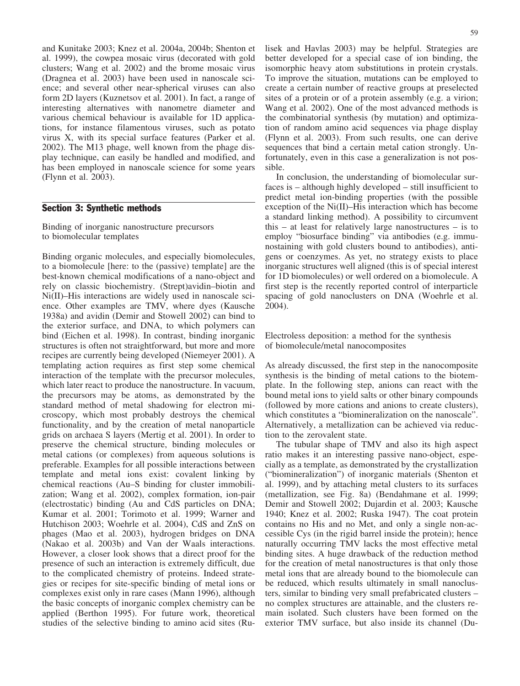and Kunitake 2003; Knez et al. 2004a, 2004b; Shenton et al. 1999), the cowpea mosaic virus (decorated with gold clusters; Wang et al. 2002) and the brome mosaic virus (Dragnea et al. 2003) have been used in nanoscale science; and several other near-spherical viruses can also form 2D layers (Kuznetsov et al. 2001). In fact, a range of interesting alternatives with nanometre diameter and various chemical behaviour is available for 1D applications, for instance filamentous viruses, such as potato virus X, with its special surface features (Parker et al. 2002). The M13 phage, well known from the phage display technique, can easily be handled and modified, and has been employed in nanoscale science for some years (Flynn et al. 2003).

### Section 3: Synthetic methods

Binding of inorganic nanostructure precursors to biomolecular templates

Binding organic molecules, and especially biomolecules, to a biomolecule [here: to the (passive) template] are the best-known chemical modifications of a nano-object and rely on classic biochemistry. (Strept)avidin–biotin and Ni(II)–His interactions are widely used in nanoscale science. Other examples are TMV, where dyes (Kausche 1938a) and avidin (Demir and Stowell 2002) can bind to the exterior surface, and DNA, to which polymers can bind (Eichen et al. 1998). In contrast, binding inorganic structures is often not straightforward, but more and more recipes are currently being developed (Niemeyer 2001). A templating action requires as first step some chemical interaction of the template with the precursor molecules, which later react to produce the nanostructure. In vacuum, the precursors may be atoms, as demonstrated by the standard method of metal shadowing for electron microscopy, which most probably destroys the chemical functionality, and by the creation of metal nanoparticle grids on archaea S layers (Mertig et al. 2001). In order to preserve the chemical structure, binding molecules or metal cations (or complexes) from aqueous solutions is preferable. Examples for all possible interactions between template and metal ions exist: covalent linking by chemical reactions (Au–S binding for cluster immobilization; Wang et al. 2002), complex formation, ion-pair (electrostatic) binding (Au and CdS particles on DNA; Kumar et al. 2001; Torimoto et al. 1999; Warner and Hutchison 2003; Woehrle et al. 2004), CdS and ZnS on phages (Mao et al. 2003), hydrogen bridges on DNA (Nakao et al. 2003b) and Van der Waals interactions. However, a closer look shows that a direct proof for the presence of such an interaction is extremely difficult, due to the complicated chemistry of proteins. Indeed strategies or recipes for site-specific binding of metal ions or complexes exist only in rare cases (Mann 1996), although the basic concepts of inorganic complex chemistry can be applied (Berthon 1995). For future work, theoretical studies of the selective binding to amino acid sites (Rulisek and Havlas 2003) may be helpful. Strategies are better developed for a special case of ion binding, the isomorphic heavy atom substitutions in protein crystals. To improve the situation, mutations can be employed to create a certain number of reactive groups at preselected sites of a protein or of a protein assembly (e.g. a virion; Wang et al. 2002). One of the most advanced methods is the combinatorial synthesis (by mutation) and optimization of random amino acid sequences via phage display (Flynn et al. 2003). From such results, one can derive sequences that bind a certain metal cation strongly. Unfortunately, even in this case a generalization is not possible.

In conclusion, the understanding of biomolecular surfaces is – although highly developed – still insufficient to predict metal ion-binding properties (with the possible exception of the Ni(II)–His interaction which has become a standard linking method). A possibility to circumvent this – at least for relatively large nanostructures – is to employ "biosurface binding" via antibodies (e.g. immunostaining with gold clusters bound to antibodies), antigens or coenzymes. As yet, no strategy exists to place inorganic structures well aligned (this is of special interest for 1D biomolecules) or well ordered on a biomolecule. A first step is the recently reported control of interparticle spacing of gold nanoclusters on DNA (Woehrle et al. 2004).

Electroless deposition: a method for the synthesis of biomolecule/metal nanocomposites

As already discussed, the first step in the nanocomposite synthesis is the binding of metal cations to the biotemplate. In the following step, anions can react with the bound metal ions to yield salts or other binary compounds (followed by more cations and anions to create clusters), which constitutes a "biomineralization on the nanoscale". Alternatively, a metallization can be achieved via reduction to the zerovalent state.

The tubular shape of TMV and also its high aspect ratio makes it an interesting passive nano-object, especially as a template, as demonstrated by the crystallization ("biomineralization") of inorganic materials (Shenton et al. 1999), and by attaching metal clusters to its surfaces (metallization, see Fig. 8a) (Bendahmane et al. 1999; Demir and Stowell 2002; Dujardin et al. 2003; Kausche 1940; Knez et al. 2002; Ruska 1947). The coat protein contains no His and no Met, and only a single non-accessible Cys (in the rigid barrel inside the protein); hence naturally occurring TMV lacks the most effective metal binding sites. A huge drawback of the reduction method for the creation of metal nanostructures is that only those metal ions that are already bound to the biomolecule can be reduced, which results ultimately in small nanoclusters, similar to binding very small prefabricated clusters – no complex structures are attainable, and the clusters remain isolated. Such clusters have been formed on the exterior TMV surface, but also inside its channel (Du-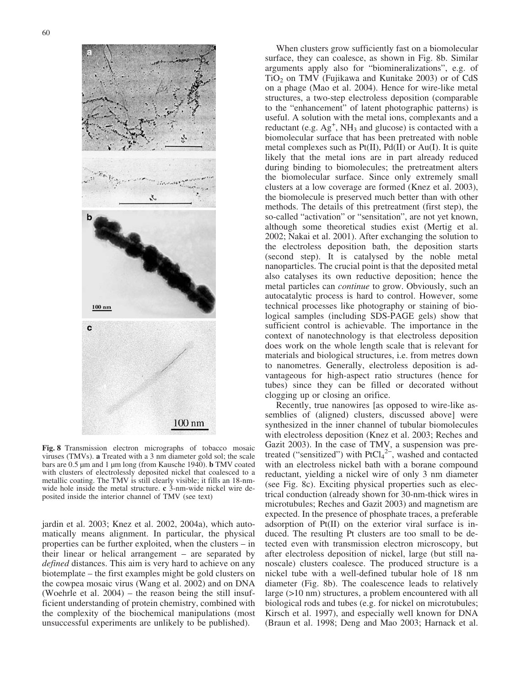

Fig. 8 Transmission electron micrographs of tobacco mosaic viruses (TMVs). a Treated with a 3 nm diameter gold sol; the scale bars are 0.5 µm and 1 µm long (from Kausche 1940). **b** TMV coated with clusters of electrolessly deposited nickel that coalesced to a metallic coating. The TMV is still clearly visible; it fills an 18-nmwide hole inside the metal structure. c 3-nm-wide nickel wire deposited inside the interior channel of TMV (see text)

jardin et al. 2003; Knez et al. 2002, 2004a), which automatically means alignment. In particular, the physical properties can be further exploited, when the clusters – in their linear or helical arrangement – are separated by defined distances. This aim is very hard to achieve on any biotemplate – the first examples might be gold clusters on the cowpea mosaic virus (Wang et al. 2002) and on DNA (Woehrle et al. 2004) – the reason being the still insufficient understanding of protein chemistry, combined with the complexity of the biochemical manipulations (most unsuccessful experiments are unlikely to be published).

When clusters grow sufficiently fast on a biomolecular surface, they can coalesce, as shown in Fig. 8b. Similar arguments apply also for "biomineralizations", e.g. of  $TiO<sub>2</sub>$  on TMV (Fujikawa and Kunitake 2003) or of CdS on a phage (Mao et al. 2004). Hence for wire-like metal structures, a two-step electroless deposition (comparable to the "enhancement" of latent photographic patterns) is useful. A solution with the metal ions, complexants and a reductant (e.g.  $Ag^+$ , NH<sub>3</sub> and glucose) is contacted with a biomolecular surface that has been pretreated with noble metal complexes such as  $Pt(II)$ ,  $Pd(II)$  or  $Au(I)$ . It is quite likely that the metal ions are in part already reduced during binding to biomolecules; the pretreatment alters the biomolecular surface. Since only extremely small clusters at a low coverage are formed (Knez et al. 2003), the biomolecule is preserved much better than with other methods. The details of this pretreatment (first step), the so-called "activation" or "sensitation", are not yet known, although some theoretical studies exist (Mertig et al. 2002; Nakai et al. 2001). After exchanging the solution to the electroless deposition bath, the deposition starts (second step). It is catalysed by the noble metal nanoparticles. The crucial point is that the deposited metal also catalyses its own reductive deposition; hence the metal particles can *continue* to grow. Obviously, such an autocatalytic process is hard to control. However, some technical processes like photography or staining of biological samples (including SDS-PAGE gels) show that sufficient control is achievable. The importance in the context of nanotechnology is that electroless deposition does work on the whole length scale that is relevant for materials and biological structures, i.e. from metres down to nanometres. Generally, electroless deposition is advantageous for high-aspect ratio structures (hence for tubes) since they can be filled or decorated without clogging up or closing an orifice.

Recently, true nanowires [as opposed to wire-like assemblies of (aligned) clusters, discussed above] were synthesized in the inner channel of tubular biomolecules with electroless deposition (Knez et al. 2003; Reches and Gazit 2003). In the case of TMV, a suspension was pretreated ("sensitized") with  $PtCl<sub>4</sub><sup>2–</sup>$ , washed and contacted with an electroless nickel bath with a borane compound reductant, yielding a nickel wire of only 3 nm diameter (see Fig. 8c). Exciting physical properties such as electrical conduction (already shown for 30-nm-thick wires in microtubules; Reches and Gazit 2003) and magnetism are expected. In the presence of phosphate traces, a preferable adsorption of Pt(II) on the exterior viral surface is induced. The resulting Pt clusters are too small to be detected even with transmission electron microscopy, but after electroless deposition of nickel, large (but still nanoscale) clusters coalesce. The produced structure is a nickel tube with a well-defined tubular hole of 18 nm diameter (Fig. 8b). The coalescence leads to relatively large (>10 nm) structures, a problem encountered with all biological rods and tubes (e.g. for nickel on microtubules; Kirsch et al. 1997), and especially well known for DNA (Braun et al. 1998; Deng and Mao 2003; Harnack et al.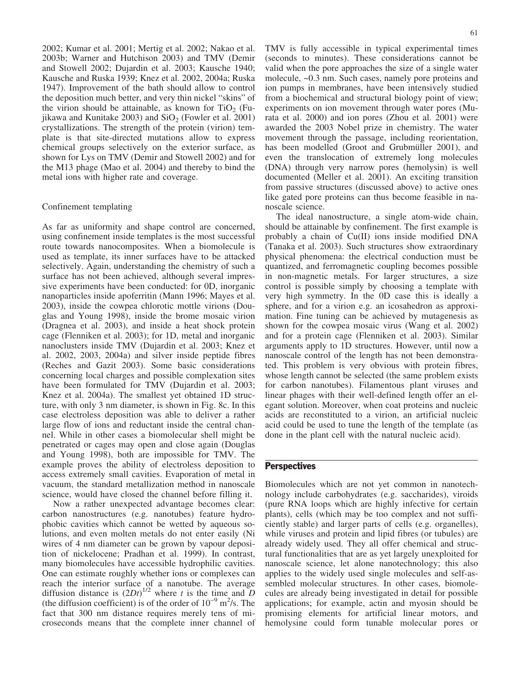2002; Kumar et al. 2001; Mertig et al. 2002; Nakao et al. 2003b; Warner and Hutchison 2003) and TMV (Demir and Stowell 2002; Dujardin et al. 2003; Kausche 1940; Kausche and Ruska 1939; Knez et al. 2002, 2004a; Ruska 1947). Improvement of the bath should allow to control the deposition much better, and very thin nickel "skins" of the virion should be attainable, as known for  $TiO<sub>2</sub>$  (Fujikawa and Kunitake 2003) and  $SiO<sub>2</sub>$  (Fowler et al. 2001) crystallizations. The strength of the protein (virion) template is that site-directed mutations allow to express chemical groups selectively on the exterior surface, as shown for Lys on TMV (Demir and Stowell 2002) and for the M13 phage (Mao et al. 2004) and thereby to bind the metal ions with higher rate and coverage.

#### Confinement templating

As far as uniformity and shape control are concerned, using confinement inside templates is the most successful route towards nanocomposites. When a biomolecule is used as template, its inner surfaces have to be attacked selectively. Again, understanding the chemistry of such a surface has not been achieved, although several impressive experiments have been conducted: for 0D, inorganic nanoparticles inside apoferritin (Mann 1996; Mayes et al. 2003), inside the cowpea chlorotic mottle virions (Douglas and Young 1998), inside the brome mosaic virion (Dragnea et al. 2003), and inside a heat shock protein cage (Flenniken et al. 2003); for 1D, metal and inorganic nanoclusters inside TMV (Dujardin et al. 2003; Knez et al. 2002, 2003, 2004a) and silver inside peptide fibres (Reches and Gazit 2003). Some basic considerations concerning local charges and possible complexation sites have been formulated for TMV (Dujardin et al. 2003; Knez et al. 2004a). The smallest yet obtained 1D structure, with only 3 nm diameter, is shown in Fig. 8c. In this case electroless deposition was able to deliver a rather large flow of ions and reductant inside the central channel. While in other cases a biomolecular shell might be penetrated or cages may open and close again (Douglas and Young 1998), both are impossible for TMV. The example proves the ability of electroless deposition to access extremely small cavities. Evaporation of metal in vacuum, the standard metallization method in nanoscale science, would have closed the channel before filling it.

Now a rather unexpected advantage becomes clear: carbon nanostructures (e.g. nanotubes) feature hydrophobic cavities which cannot be wetted by aqueous solutions, and even molten metals do not enter easily (Ni wires of 4 nm diameter can be grown by vapour deposition of nickelocene; Pradhan et al. 1999). In contrast, many biomolecules have accessible hydrophilic cavities. One can estimate roughly whether ions or complexes can reach the interior surface of a nanotube. The average diffusion distance is  $(2Dt)^{1/2}$  where t is the time and D (the diffusion coefficient) is of the order of  $10^{-9}$  m<sup>2</sup>/s. The fact that 300 nm distance requires merely tens of microseconds means that the complete inner channel of TMV is fully accessible in typical experimental times (seconds to minutes). These considerations cannot be valid when the pore approaches the size of a single water molecule, ~0.3 nm. Such cases, namely pore proteins and ion pumps in membranes, have been intensively studied from a biochemical and structural biology point of view; experiments on ion movement through water pores (Murata et al. 2000) and ion pores (Zhou et al. 2001) were awarded the 2003 Nobel prize in chemistry. The water movement through the passage, including reorientation, has been modelled (Groot and Grubmüller 2001), and even the translocation of extremely long molecules (DNA) through very narrow pores (hemolysin) is well documented (Meller et al. 2001). An exciting transition from passive structures (discussed above) to active ones like gated pore proteins can thus become feasible in nanoscale science.

The ideal nanostructure, a single atom-wide chain, should be attainable by confinement. The first example is probably a chain of Cu(II) ions inside modified DNA (Tanaka et al. 2003). Such structures show extraordinary physical phenomena: the electrical conduction must be quantized, and ferromagnetic coupling becomes possible in non-magnetic metals. For larger structures, a size control is possible simply by choosing a template with very high symmetry. In the 0D case this is ideally a sphere, and for a virion e.g. an icosahedron as approximation. Fine tuning can be achieved by mutagenesis as shown for the cowpea mosaic virus (Wang et al. 2002) and for a protein cage (Flenniken et al. 2003). Similar arguments apply to 1D structures. However, until now a nanoscale control of the length has not been demonstrated. This problem is very obvious with protein fibres, whose length cannot be selected (the same problem exists for carbon nanotubes). Filamentous plant viruses and linear phages with their well-defined length offer an elegant solution. Moreover, when coat proteins and nucleic acids are reconstituted to a virion, an artificial nucleic acid could be used to tune the length of the template (as done in the plant cell with the natural nucleic acid).

#### **Perspectives**

Biomolecules which are not yet common in nanotechnology include carbohydrates (e.g. saccharides), viroids (pure RNA loops which are highly infective for certain plants), cells (which may be too complex and not sufficiently stable) and larger parts of cells (e.g. organelles), while viruses and protein and lipid fibres (or tubules) are already widely used. They all offer chemical and structural functionalities that are as yet largely unexploited for nanoscale science, let alone nanotechnology; this also applies to the widely used single molecules and self-assembled molecular structures. In other cases, biomolecules are already being investigated in detail for possible applications; for example, actin and myosin should be promising elements for artificial linear motors, and hemolysine could form tunable molecular pores or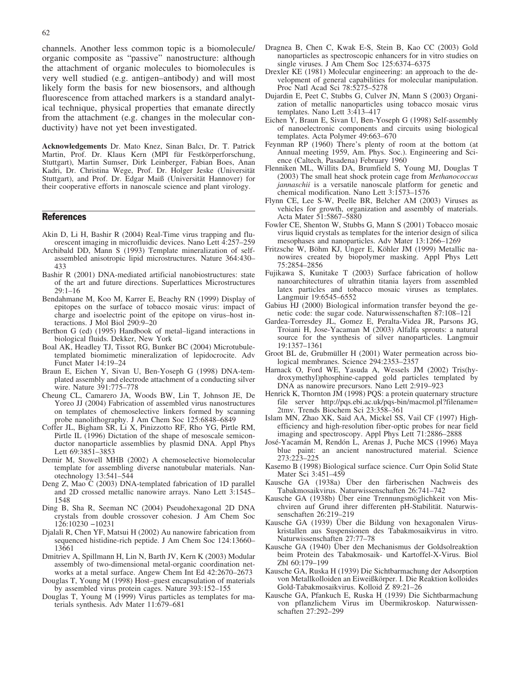channels. Another less common topic is a biomolecule/ organic composite as "passive" nanostructure: although the attachment of organic molecules to biomolecules is very well studied (e.g. antigen–antibody) and will most likely form the basis for new biosensors, and although fluorescence from attached markers is a standard analytical technique, physical properties that emanate directly from the attachment (e.g. changes in the molecular conductivity) have not yet been investigated.

Acknowledgements Dr. Mato Knez, Sinan Balcı, Dr. T. Patrick Martin, Prof. Dr. Klaus Kern (MPI für Festkörperforschung, Stuttgart), Martin Sumser, Dirk Leinberger, Fabian Boes, Anan Kadri, Dr. Christina Wege, Prof. Dr. Holger Jeske (Universität Stuttgart), and Prof. Dr. Edgar Maiß (Universität Hannover) for their cooperative efforts in nanoscale science and plant virology.

#### References

- Akin D, Li H, Bashir R (2004) Real-Time virus trapping and fluorescent imaging in microfluidic devices. Nano Lett 4:257–259
- Archibald DD, Mann S (1993) Template mineralization of selfassembled anisotropic lipid microstructures. Nature 364:430– 433
- Bashir R (2001) DNA-mediated artificial nanobiostructures: state of the art and future directions. Superlattices Microstructures  $29:1–16$
- Bendahmane M, Koo M, Karrer E, Beachy RN (1999) Display of epitopes on the surface of tobacco mosaic virus: impact of charge and isoelectric point of the epitope on virus–host interactions. J Mol Biol 290:9–20
- Berthon G (ed) (1995) Handbook of metal–ligand interactions in biological fluids. Dekker, New York
- Boal AK, Headley TJ, Tissot RG, Bunker BC (2004) Microtubuletemplated biomimetic mineralization of lepidocrocite. Adv Funct Mater 14:19–24
- Braun E, Eichen Y, Sivan U, Ben-Yoseph G (1998) DNA-templated assembly and electrode attachment of a conducting silver wire. Nature 391:775–778
- Cheung CL, Camarero JA, Woods BW, Lin T, Johnson JE, De Yoreo JJ (2004) Fabrication of assembled virus nanostructures on templates of chemoselective linkers formed by scanning probe nanolithography. J Am Chem Soc 125:6848–6849
- Coffer JL, Bigham SR, Li X, Pinizzotto RF, Rho YG, Pirtle RM, Pirtle IL (1996) Dictation of the shape of mesoscale semiconductor nanoparticle assemblies by plasmid DNA. Appl Phys Lett 69:3851–3853
- Demir M, Stowell MHB (2002) A chemoselective biomolecular template for assembling diverse nanotubular materials. Nanotechnology 13:541–544
- Deng Z, Mao C (2003) DNA-templated fabrication of 1D parallel and 2D crossed metallic nanowire arrays. Nano Lett 3:1545– 1548
- Ding B, Sha R, Seeman NC (2004) Pseudohexagonal 2D DNA crystals from double crossover cohesion. J Am Chem Soc 126:10230 -10231
- Djalali R, Chen YF, Matsui H (2002) Au nanowire fabrication from sequenced histidine-rich peptide. J Am Chem Soc 124:13660– 13661
- Dmitriev A, Spillmann H, Lin N, Barth JV, Kern K (2003) Modular assembly of two-dimensional metal-organic coordination networks at a metal surface. Angew Chem Int Ed 42:2670–2673
- Douglas T, Young M (1998) Host–guest encapsulation of materials by assembled virus protein cages. Nature 393:152–155
- Douglas T, Young M (1999) Virus particles as templates for materials synthesis. Adv Mater 11:679–681
- Dragnea B, Chen C, Kwak E-S, Stein B, Kao CC (2003) Gold nanoparticles as spectroscopic enhancers for in vitro studies on single viruses. J Am Chem Soc 125:6374–6375
- Drexler KE (1981) Molecular engineering: an approach to the development of general capabilities for molecular manipulation. Proc Natl Acad Sci 78:5275–5278
- Dujardin E, Peet C, Stubbs G, Culver JN, Mann S (2003) Organization of metallic nanoparticles using tobacco mosaic virus templates. Nano Lett 3:413–417
- Eichen Y, Braun E, Sivan U, Ben-Yoseph G (1998) Self-assembly of nanoelectronic components and circuits using biological templates. Acta Polymer 49:663–670
- Feynman RP (1960) There's plenty of room at the bottom (at Annual meeting 1959, Am. Phys. Soc.). Engineering and Science (Caltech, Pasadena) February 1960
- Flenniken ML, Willits DA, Brumfield S, Young MJ, Douglas T (2003) The small heat shock protein cage from Methanococcus jannaschii is a versatile nanoscale platform for genetic and chemical modification. Nano Lett 3:1573–1576
- Flynn CE, Lee S-W, Peelle BR, Belcher AM (2003) Viruses as vehicles for growth, organization and assembly of materials. Acta Mater 51:5867–5880
- Fowler CE, Shenton W, Stubbs G, Mann S (2001) Tobacco mosaic virus liquid crystals as templates for the interior design of silica mesophases and nanoparticles. Adv Mater 13:1266–1269
- Fritzsche W, Böhm KJ, Unger E, Köhler JM (1999) Metallic nanowires created by biopolymer masking. Appl Phys Lett 75:2854–2856
- Fujikawa S, Kunitake T (2003) Surface fabrication of hollow nanoarchitectures of ultrathin titania layers from assembled latex particles and tobacco mosaic viruses as templates. Langmuir 19:6545–6552
- Gabius HJ (2000) Biological information transfer beyond the genetic code: the sugar code. Naturwissenschaften 87:108–121
- Gardea-Torresdey JL, Gomez E, Peralta-Videa JR, Parsons JG, Troiani H, Jose-Yacaman M (2003) Alfalfa sprouts: a natural source for the synthesis of silver nanoparticles. Langmuir 19:1357–1361
- Groot BL de, Grubmüller H (2001) Water permeation across biological membranes. Science 294:2353–2357
- Harnack O, Ford WE, Yasuda A, Wessels JM (2002) Tris(hydroxymethyl)phosphine-capped gold particles templated by DNA as nanowire precursors. Nano Lett 2:919–923
- Henrick K, Thornton JM (1998) PQS: a protein quaternary structure file server http://pqs.ebi.ac.uk/pqs-bin/macmol.pl?filename= 2tmv. Trends Biochem Sci 23:358–361
- Islam MN, Zhao XK, Said AA, Mickel SS, Vail CF (1997) Highefficiency and high-resolution fiber-optic probes for near field imaging and spectroscopy. Appl Phys Lett 71:2886–2888
- José-Yacamán M, Rendón L, Arenas J, Puche MCS (1996) Maya blue paint: an ancient nanostructured material. Science 273:223–225
- Kasemo B (1998) Biological surface science. Curr Opin Solid State Mater Sci 3:451–459
- Kausche GA (1938a) Über den färberischen Nachweis des Tabakmosaikvirus. Naturwissenschaften 26:741–742
- Kausche GA (1938b) Über eine Trennungsmöglichkeit von Mischviren auf Grund ihrer differenten pH-Stabilität. Naturwissenschaften 26:219–219
- Kausche GA (1939) Über die Bildung von hexagonalen Viruskristallen aus Suspensionen des Tabakmosaikvirus in vitro. Naturwissenschaften 27:77–78
- Kausche GA (1940) Über den Mechanismus der Goldsolreaktion beim Protein des Tabakmosaik- und Kartoffel-X-Virus. Biol Zbl 60:179–199
- Kausche GA, Ruska H (1939) Die Sichtbarmachung der Adsorption von Metallkolloiden an Eiweißkörper. I. Die Reaktion kolloides Gold-Tabakmosaikvirus. Kolloid Z 89:21–26
- Kausche GA, Pfankuch E, Ruska H (1939) Die Sichtbarmachung von pflanzlichem Virus im Übermikroskop. Naturwissenschaften 27:292–299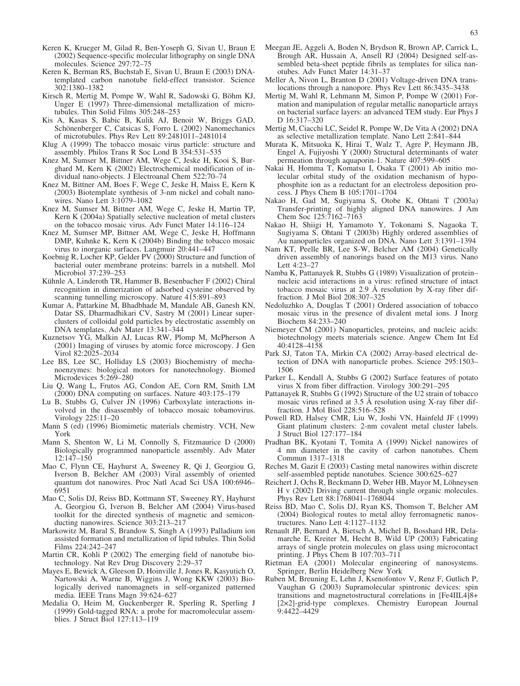- Keren K, Krueger M, Gilad R, Ben-Yoseph G, Sivan U, Braun E (2002) Sequence-specific molecular lithography on single DNA molecules. Science 297:72–75
- Keren K, Berman RS, Buchstab E, Sivan U, Braun E (2003) DNAtemplated carbon nanotube field-effect transistor. Science 302:1380–1382
- Kirsch R, Mertig M, Pompe W, Wahl R, Sadowski G, Böhm KJ, Unger E (1997) Three-dimensional metallization of microtubules. Thin Solid Films 305:248–253
- Kis A, Kasas S, Babic B, Kulik AJ, Benoit W, Briggs GAD, Schönenberger C, Catsicas S, Forro L (2002) Nanomechanics of microtubules. Phys Rev Lett 89:2481011–2481014
- Klug A (1999) The tobacco mosaic virus particle: structure and assembly. Philos Trans R Soc Lond B 354:531–535
- Knez M, Sumser M, Bittner AM, Wege C, Jeske H, Kooi S, Burghard M, Kern K (2002) Electrochemical modification of individual nano-objects. J Electroanal Chem 522:70–74
- Knez M, Bittner AM, Boes F, Wege C, Jeske H, Maiss E, Kern K (2003) Biotemplate synthesis of 3-nm nickel and cobalt nanowires. Nano Lett 3:1079–1082
- Knez M, Sumser M, Bittner AM, Wege C, Jeske H, Martin TP, Kern K (2004a) Spatially selective nucleation of metal clusters on the tobacco mosaic virus. Adv Funct Mater 14:116–124
- Knez M, Sumser MP, Bittner AM, Wege C, Jeske H, Hoffmann DMP, Kuhnke K, Kern K (2004b) Binding the tobacco mosaic virus to inorganic surfaces. Langmuir 20:441–447
- Koebnig R, Locher KP, Gelder PV (2000) Structure and function of bacterial outer membrane proteins: barrels in a nutshell. Mol Microbiol 37:239–253
- Kühnle A, Linderoth TR, Hammer B, Besenbacher F (2002) Chiral recognition in dimerization of adsorbed cysteine observed by scanning tunnelling microscopy. Nature 415:891–893
- Kumar A, Pattarkine M, Bhadbhade M, Mandale AB, Ganesh KN, Datar SS, Dharmadhikari CV, Sastry M (2001) Linear superclusters of colloidal gold particles by electrostatic assembly on DNA templates. Adv Mater 13:341–344
- Kuznetsov YG, Malkin AJ, Lucas RW, Plomp M, McPherson A (2001) Imaging of viruses by atomic force microscopy. J Gen Virol 82:2025–2034
- Lee BS, Lee SC, Holliday LS (2003) Biochemistry of mechanoenzymes: biological motors for nanotechnology. Biomed Microdevices 5:269–280
- Liu Q, Wang L, Frutos AG, Condon AE, Corn RM, Smith LM (2000) DNA computing on surfaces. Nature 403:175–179
- Lu B, Stubbs G, Culver JN (1996) Carboxylate interactions involved in the disassembly of tobacco mosaic tobamovirus. Virology 225:11–20
- Mann S (ed) (1996) Biomimetic materials chemistry. VCH, New York
- Mann S, Shenton W, Li M, Connolly S, Fitzmaurice D (2000) Biologically programmed nanoparticle assembly. Adv Mater 12:147–150
- Mao C, Flynn CE, Hayhurst A, Sweeney R, Qi J, Georgiou G, Iverson B, Belcher AM (2003) Viral assembly of oriented quantum dot nanowires. Proc Natl Acad Sci USA 100:6946– 6951
- Mao C, Solis DJ, Reiss BD, Kottmann ST, Sweeney RY, Hayhurst A, Georgiou G, Iverson B, Belcher AM (2004) Virus-based toolkit for the directed synthesis of magnetic and semiconducting nanowires. Science 303:213–217
- Markowitz M, Baral S, Brandow S, Singh A (1993) Palladium ion assisted formation and metallization of lipid tubules. Thin Solid Films 224:242–247
- Martin CR, Kohli P (2002) The emerging field of nanotube biotechnology. Nat Rev Drug Discovery 2:29–37
- Mayes E, Bewick A, Gleeson D, Hoinville J, Jones R, Kasyutich O, Nartowski A, Warne B, Wiggins J, Wong KKW (2003) Biologically derived nanomagnets in self-organized patterned media. IEEE Trans Magn 39:624–627
- Medalia O, Heim M, Guckenberger R, Sperling R, Sperling J (1999) Gold-tagged RNA: a probe for macromolecular assemblies. J Struct Biol 127:113–119
- Meegan JE, Aggeli A, Boden N, Brydson R, Brown AP, Carrick L, Brough AR, Hussain A, Ansell RJ (2004) Designed self-assembled beta-sheet peptide fibrils as templates for silica nanotubes. Adv Funct Mater 14:31–37
- Meller A, Nivon L, Branton D (2001) Voltage-driven DNA translocations through a nanopore. Phys Rev Lett 86:3435–3438
- Mertig M, Wahl R, Lehmann M, Simon P, Pompe W (2001) Formation and manipulation of regular metallic nanoparticle arrays on bacterial surface layers: an advanced TEM study. Eur Phys J D 16:317–320
- Mertig M, Ciacchi LC, Seidel R, Pompe W, De Vita A (2002) DNA as selective metallization template. Nano Lett 2:841–844
- Murata K, Mitsuoka K, Hirai T, Walz T, Agre P, Heymann JB, Engel A, Fujiyoshi Y (2000) Structural determinants of water permeation through aquaporin-1. Nature 407:599–605
- Nakai H, Homma T, Komatsu I, Osaka T (2001) Ab initio molecular orbital study of the oxidation mechanism of hypophosphite ion as a reductant for an electroless deposition process. J Phys Chem B 105:1701–1704
- Nakao H, Gad M, Sugiyama S, Otobe K, Ohtani T (2003a) Transfer-printing of highly aligned DNA nanowires. J Am Chem Soc 125:7162–7163
- Nakao H, Shiigi H, Yamamoto Y, Tokonami S, Nagaoka T, Sugiyama S, Ohtani T (2003b) Highly ordered assemblies of Au nanoparticles organized on DNA. Nano Lett 3:1391–1394
- Nam KT, Peelle BR, Lee S-W, Belcher AM (2004) Genetically driven assembly of nanorings based on the M13 virus. Nano Lett 4:23–27
- Namba K, Pattanayek R, Stubbs G (1989) Visualization of protein– nucleic acid interactions in a virus: refined structure of intact tobacco mosaic virus at  $2.9$  Å resolution by X-ray fiber diffraction. J Mol Biol 208:307–325
- Nedoluzhko A, Douglas T (2001) Ordered association of tobacco mosaic virus in the presence of divalent metal ions. J Inorg Biochem 84:233–240
- Niemeyer CM (2001) Nanoparticles, proteins, and nucleic acids: biotechnology meets materials science. Angew Chem Int Ed 40:4128–4158
- Park SJ, Taton TA, Mirkin CA (2002) Array-based electrical detection of DNA with nanoparticle probes. Science 295:1503– 1506
- Parker L, Kendall A, Stubbs G (2002) Surface features of potato virus X from fiber diffraction. Virology 300:291–295
- Pattanayek R, Stubbs G (1992) Structure of the U2 strain of tobacco mosaic virus refined at  $3.5$  Å resolution using X-ray fiber diffraction. J Mol Biol 228:516–528
- Powell RD, Halsey CMR, Liu W, Joshi VN, Hainfeld JF (1999) Giant platinum clusters: 2-nm covalent metal cluster labels. J Struct Biol 127:177–184
- Pradhan BK, Kyotani T, Tomita A (1999) Nickel nanowires of 4 nm diameter in the cavity of carbon nanotubes. Chem Commun 1317–1318
- Reches M, Gazit E (2003) Casting metal nanowires within discrete self-assembled peptide nanotubes. Science 300:625–627
- Reichert J, Ochs R, Beckmann D, Weber HB, Mayor M, Löhneysen H v (2002) Driving current through single organic molecules. Phys Rev Lett 88:1768041–1768044
- Reiss BD, Mao C, Solis DJ, Ryan KS, Thomson T, Belcher AM (2004) Biological routes to metal alloy ferromagnetic nanostructures. Nano Lett 4:1127–1132
- Renault JP, Bernard A, Bietsch A, Michel B, Bosshard HR, Delamarche E, Kreiter M, Hecht B, Wild UP (2003) Fabricating arrays of single protein molecules on glass using microcontact printing. J Phys Chem B 107:703–711
- Rietman EA (2001) Molecular engineering of nanosystems. Springer, Berlin Heidelberg New York
- Ruben M, Breuning E, Lehn J, Ksenofontov V, Renz F, Gutlich P, Vaughan G (2003) Supramolecular spintronic devices: spin transitions and magnetostructural correlations in [Fe4IIL4]8+ [2
2]-grid-type complexes. Chemistry European Journal 9:4422–4429